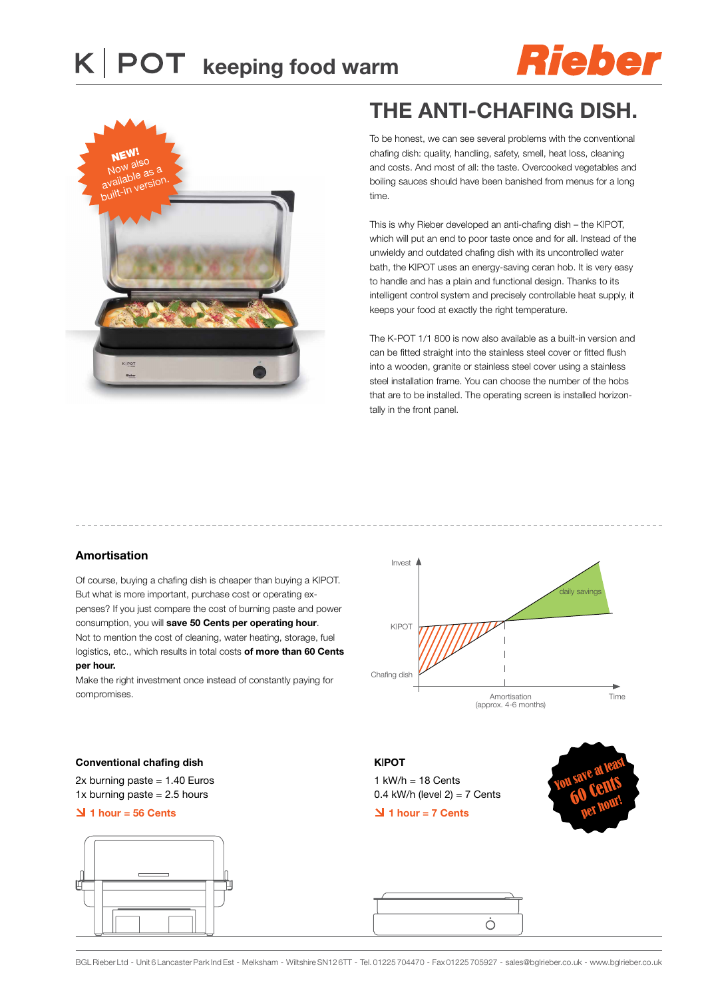



## **The ANTI-CHAFING DISH.**

To be honest, we can see several problems with the conventional chafing dish: quality, handling, safety, smell, heat loss, cleaning and costs. And most of all: the taste. Overcooked vegetables and boiling sauces should have been banished from menus for a long time.

This is why Rieber developed an anti-chafing dish – the K|POT, which will put an end to poor taste once and for all. Instead of the unwieldy and outdated chafing dish with its uncontrolled water bath, the K|POT uses an energy-saving ceran hob. It is very easy to handle and has a plain and functional design. Thanks to its intelligent control system and precisely controllable heat supply, it keeps your food at exactly the right temperature.

The K-POT 1/1 800 is now also available as a built-in version and can be fitted straight into the stainless steel cover or fitted flush into a wooden, granite or stainless steel cover using a stainless steel installation frame. You can choose the number of the hobs that are to be installed. The operating screen is installed horizontally in the front panel.

### **Amortisation**

Of course, buying a chafing dish is cheaper than buying a K|POT. But what is more important, purchase cost or operating expenses? If you just compare the cost of burning paste and power consumption, you will **save 50 Cents per operating hour**. Not to mention the cost of cleaning, water heating, storage, fuel logistics, etc., which results in total costs **of more than 60 Cents per hour.**

Make the right investment once instead of constantly paying for compromises.





2x burning paste = 1.40 Euros 1x burning paste  $= 2.5$  hours

#### **1 hour = 56 Cents**



**K|POT**  1 kW/h = 18 Cents  $0.4$  kW/h (level  $2$ ) = 7 Cents  **1 hour = 7 Cents**





BGL Rieber Ltd - Unit 6 Lancaster Park Ind Est - Melksham - Wiltshire SN12 6TT - Tel. 01225 704470 - Fax 01225 705927 - sales@bglrieber.co.uk - www.bglrieber.co.uk